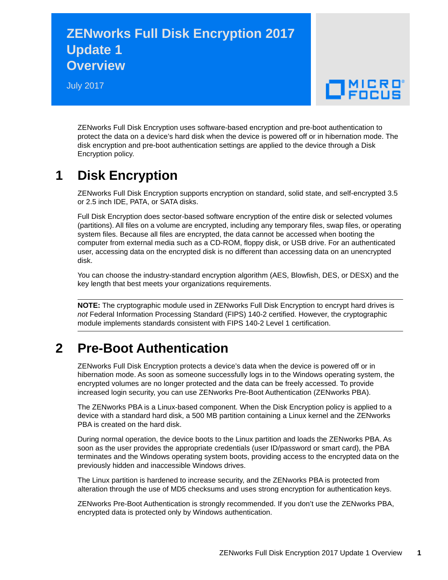## **ZENworks Full Disk Encryption 2017 Update 1 Overview**

July 2017



ZENworks Full Disk Encryption uses software-based encryption and pre-boot authentication to protect the data on a device's hard disk when the device is powered off or in hibernation mode. The disk encryption and pre-boot authentication settings are applied to the device through a Disk Encryption policy.

## **1 Disk Encryption**

ZENworks Full Disk Encryption supports encryption on standard, solid state, and self-encrypted 3.5 or 2.5 inch IDE, PATA, or SATA disks.

Full Disk Encryption does sector-based software encryption of the entire disk or selected volumes (partitions). All files on a volume are encrypted, including any temporary files, swap files, or operating system files. Because all files are encrypted, the data cannot be accessed when booting the computer from external media such as a CD-ROM, floppy disk, or USB drive. For an authenticated user, accessing data on the encrypted disk is no different than accessing data on an unencrypted disk.

You can choose the industry-standard encryption algorithm (AES, Blowfish, DES, or DESX) and the key length that best meets your organizations requirements.

**NOTE:** The cryptographic module used in ZENworks Full Disk Encryption to encrypt hard drives is *not* Federal Information Processing Standard (FIPS) 140-2 certified. However, the cryptographic module implements standards consistent with FIPS 140-2 Level 1 certification.

## **2 Pre-Boot Authentication**

ZENworks Full Disk Encryption protects a device's data when the device is powered off or in hibernation mode. As soon as someone successfully logs in to the Windows operating system, the encrypted volumes are no longer protected and the data can be freely accessed. To provide increased login security, you can use ZENworks Pre-Boot Authentication (ZENworks PBA).

The ZENworks PBA is a Linux-based component. When the Disk Encryption policy is applied to a device with a standard hard disk, a 500 MB partition containing a Linux kernel and the ZENworks PBA is created on the hard disk.

During normal operation, the device boots to the Linux partition and loads the ZENworks PBA. As soon as the user provides the appropriate credentials (user ID/password or smart card), the PBA terminates and the Windows operating system boots, providing access to the encrypted data on the previously hidden and inaccessible Windows drives.

The Linux partition is hardened to increase security, and the ZENworks PBA is protected from alteration through the use of MD5 checksums and uses strong encryption for authentication keys.

ZENworks Pre-Boot Authentication is strongly recommended. If you don't use the ZENworks PBA, encrypted data is protected only by Windows authentication.